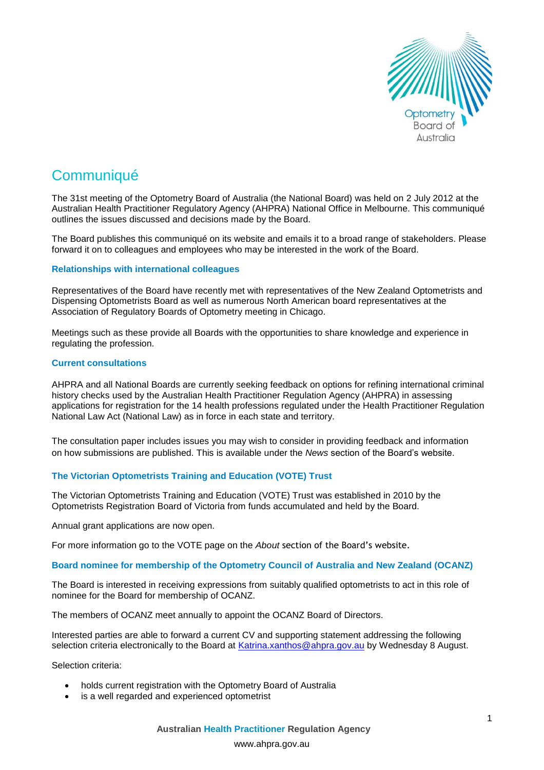

# **Communiqué**

The 31st meeting of the Optometry Board of Australia (the National Board) was held on 2 July 2012 at the Australian Health Practitioner Regulatory Agency (AHPRA) National Office in Melbourne. This communiqué outlines the issues discussed and decisions made by the Board.

The Board publishes this communiqué on its website and emails it to a broad range of stakeholders. Please forward it on to colleagues and employees who may be interested in the work of the Board.

#### **Relationships with international colleagues**

Representatives of the Board have recently met with representatives of the New Zealand Optometrists and Dispensing Optometrists Board as well as numerous North American board representatives at the Association of Regulatory Boards of Optometry meeting in Chicago.

Meetings such as these provide all Boards with the opportunities to share knowledge and experience in regulating the profession.

#### **Current consultations**

AHPRA and all National Boards are currently seeking feedback on options for refining international criminal history checks used by the Australian Health Practitioner Regulation Agency (AHPRA) in assessing applications for registration for the 14 health professions regulated under the Health Practitioner Regulation National Law Act (National Law) as in force in each state and territory.

The consultation paper includes issues you may wish to consider in providing feedback and information on how submissions are published. This is available under the *News* section of the Board's website.

# **The Victorian Optometrists Training and Education (VOTE) Trust**

The Victorian Optometrists Training and Education (VOTE) Trust was established in 2010 by the Optometrists Registration Board of Victoria from funds accumulated and held by the Board.

Annual grant applications are now open.

For more information go to the VOTE page on the *About* section of the Board's website.

# **Board nominee for membership of the Optometry Council of Australia and New Zealand (OCANZ)**

The Board is interested in receiving expressions from suitably qualified optometrists to act in this role of nominee for the Board for membership of OCANZ.

The members of OCANZ meet annually to appoint the OCANZ Board of Directors.

Interested parties are able to forward a current CV and supporting statement addressing the following selection criteria electronically to the Board at [Katrina.xanthos@ahpra.gov.au](mailto:Katrina.xanthos@ahpra.gov.au) by Wednesday 8 August.

Selection criteria:

- holds current registration with the Optometry Board of Australia
- is a well regarded and experienced optometrist